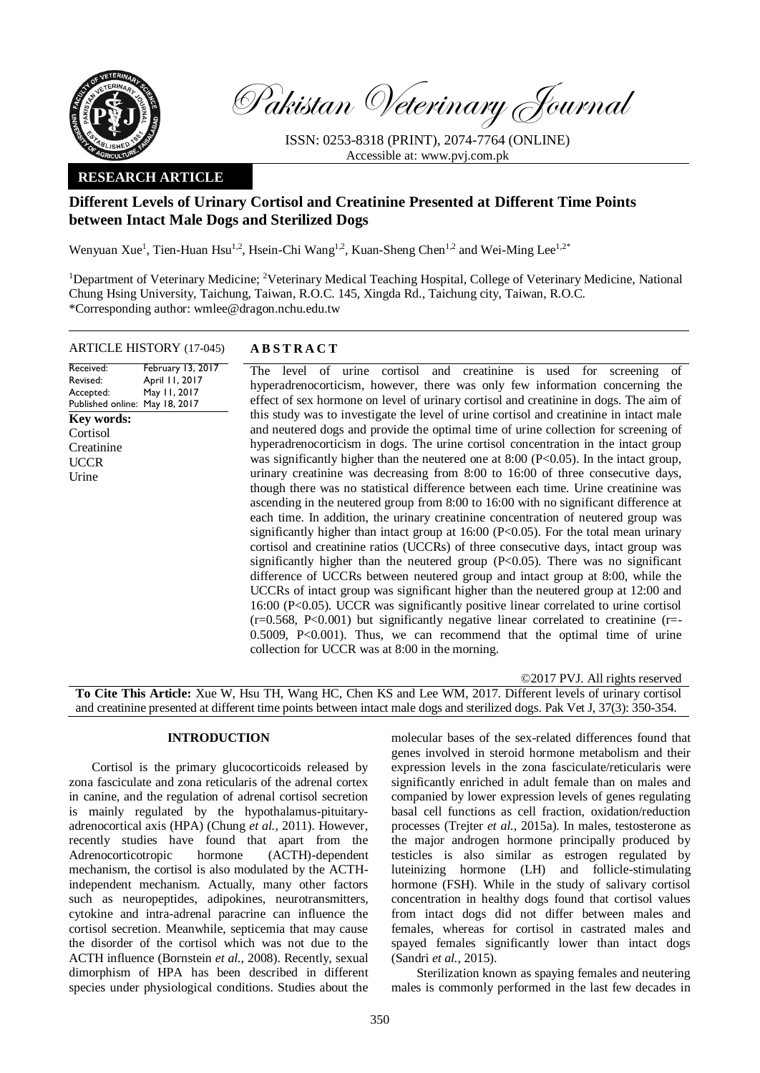

Pakistan Veterinary Journal

ISSN: 0253-8318 (PRINT), 2074-7764 (ONLINE) Accessible at: [www.pvj.com.pk](http://www.pvj.com.pk/)

## **RESEARCH ARTICLE**

# **Different Levels of Urinary Cortisol and Creatinine Presented at Different Time Points between Intact Male Dogs and Sterilized Dogs**

Wenyuan Xue<sup>1</sup>, Tien-Huan Hsu<sup>1,2</sup>, Hsein-Chi Wang<sup>1,2</sup>, Kuan-Sheng Chen<sup>1,2</sup> and Wei-Ming Lee<sup>1,2\*</sup>

<sup>1</sup>Department of Veterinary Medicine; <sup>2</sup>Veterinary Medical Teaching Hospital, College of Veterinary Medicine, National Chung Hsing University, Taichung, Taiwan, R.O.C. 145, Xingda Rd., Taichung city, Taiwan, R.O.C. \*Corresponding author: wmlee@dragon.nchu.edu.tw

## ARTICLE HISTORY (17-045) **A B S T R A C T**

Received: Revised: Accepted: Published online: May 18, 2017 February 13, 2017 April 11, 2017 May 11, 2017 The level of urine cortisol and creatinine is used for screening of hyperadrenocorticism, however, there was only few information concerning the effect of sex hormone on level of urinary cortisol and creatinine in dogs. The aim of this study was to investigate the level of urine cortisol and creatinine in intact male and neutered dogs and provide the optimal time of urine collection for screening of hyperadrenocorticism in dogs. The urine cortisol concentration in the intact group was significantly higher than the neutered one at 8:00 (P<0.05). In the intact group, urinary creatinine was decreasing from 8:00 to 16:00 of three consecutive days, though there was no statistical difference between each time. Urine creatinine was ascending in the neutered group from 8:00 to 16:00 with no significant difference at each time. In addition, the urinary creatinine concentration of neutered group was significantly higher than intact group at  $16:00$  (P<0.05). For the total mean urinary cortisol and creatinine ratios (UCCRs) of three consecutive days, intact group was significantly higher than the neutered group  $(P<0.05)$ . There was no significant difference of UCCRs between neutered group and intact group at 8:00, while the UCCRs of intact group was significant higher than the neutered group at 12:00 and 16:00 (P<0.05). UCCR was significantly positive linear correlated to urine cortisol (r=0.568, P<0.001) but significantly negative linear correlated to creatinine (r=- 0.5009, P<0.001). Thus, we can recommend that the optimal time of urine collection for UCCR was at 8:00 in the morning. **Key words: Cortisol Creatinine UCCR** Urine

©2017 PVJ. All rights reserved **To Cite This Article:** Xue W, Hsu TH, Wang HC, Chen KS and Lee WM, 2017. Different levels of urinary cortisol and creatinine presented at different time points between intact male dogs and sterilized dogs. Pak Vet J, 37(3): 350-354.

## **INTRODUCTION**

Cortisol is the primary glucocorticoids released by zona fasciculate and zona reticularis of the adrenal cortex in canine, and the regulation of adrenal cortisol secretion is mainly regulated by the hypothalamus-pituitaryadrenocortical axis (HPA) (Chung *et al.*, 2011). However, recently studies have found that apart from the Adrenocorticotropic hormone (ACTH)-dependent mechanism, the cortisol is also modulated by the ACTHindependent mechanism. Actually, many other factors such as neuropeptides, adipokines, neurotransmitters, cytokine and intra-adrenal paracrine can influence the cortisol secretion. Meanwhile, septicemia that may cause the disorder of the cortisol which was not due to the ACTH influence (Bornstein *et al.*, 2008). Recently, sexual dimorphism of HPA has been described in different species under physiological conditions. Studies about the

molecular bases of the sex-related differences found that genes involved in steroid hormone metabolism and their expression levels in the zona fasciculate/reticularis were significantly enriched in adult female than on males and companied by lower expression levels of genes regulating basal cell functions as cell fraction, oxidation/reduction processes (Trejter *et al.*, 2015a). In males, testosterone as the major androgen hormone principally produced by testicles is also similar as estrogen regulated by luteinizing hormone (LH) and follicle-stimulating hormone (FSH). While in the study of salivary cortisol concentration in healthy dogs found that cortisol values from intact dogs did not differ between males and females, whereas for cortisol in castrated males and spayed females significantly lower than intact dogs (Sandri *et al.*, 2015).

Sterilization known as spaying females and neutering males is commonly performed in the last few decades in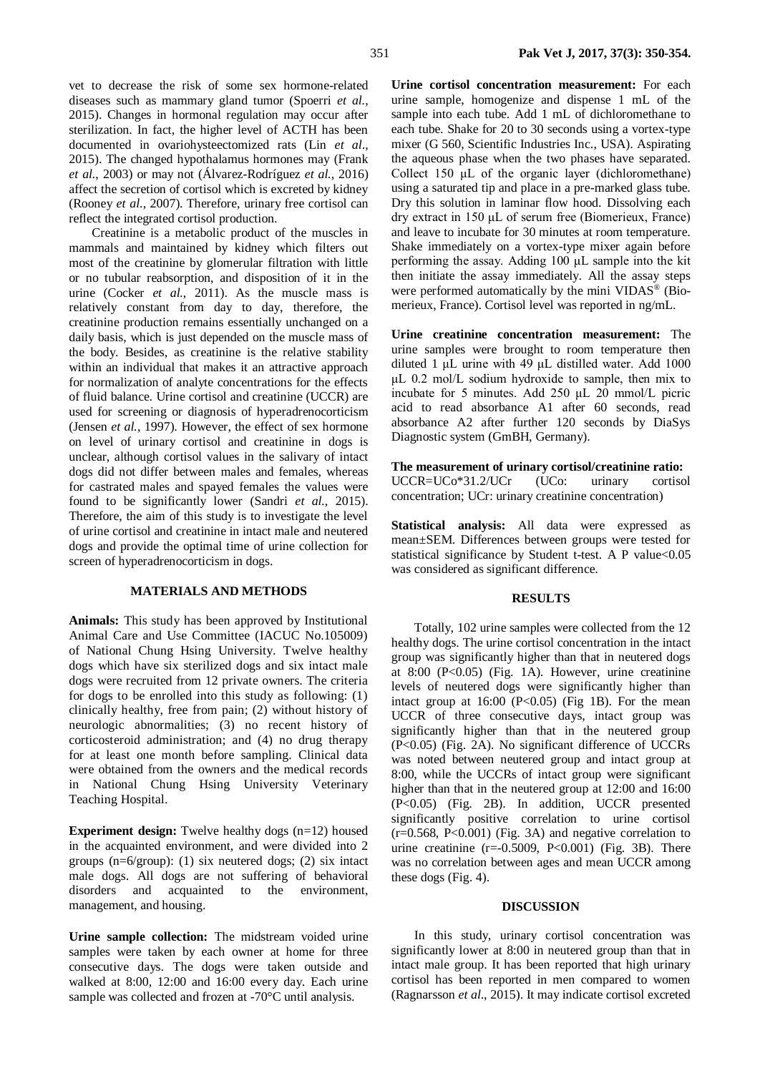vet to decrease the risk of some sex hormone-related diseases such as mammary gland tumor (Spoerri *et al.*, 2015). Changes in hormonal regulation may occur after sterilization. In fact, the higher level of ACTH has been documented in ovariohysteectomized rats (Lin *et al*., 2015). The changed hypothalamus hormones may (Frank *et al.*, 2003) or may not (Álvarez-Rodríguez *et al.*, 2016) affect the secretion of cortisol which is excreted by kidney (Rooney *et al.*, 2007). Therefore, urinary free cortisol can reflect the integrated cortisol production.

Creatinine is a metabolic product of the muscles in mammals and maintained by kidney which filters out most of the creatinine by glomerular filtration with little or no tubular reabsorption, and disposition of it in the urine (Cocker *et al.*, 2011). As the muscle mass is relatively constant from day to day, therefore, the creatinine production remains essentially unchanged on a daily basis, which is just depended on the muscle mass of the body. Besides, as creatinine is the relative stability within an individual that makes it an attractive approach for normalization of analyte concentrations for the effects of fluid balance. Urine cortisol and creatinine (UCCR) are used for screening or diagnosis of hyperadrenocorticism (Jensen *et al.*, 1997). However, the effect of sex hormone on level of urinary cortisol and creatinine in dogs is unclear, although cortisol values in the salivary of intact dogs did not differ between males and females, whereas for castrated males and spayed females the values were found to be significantly lower (Sandri *et al.*, 2015). Therefore, the aim of this study is to investigate the level of urine cortisol and creatinine in intact male and neutered dogs and provide the optimal time of urine collection for screen of hyperadrenocorticism in dogs.

### **MATERIALS AND METHODS**

**Animals:** This study has been approved by Institutional Animal Care and Use Committee (IACUC No.105009) of National Chung Hsing University. Twelve healthy dogs which have six sterilized dogs and six intact male dogs were recruited from 12 private owners. The criteria for dogs to be enrolled into this study as following: (1) clinically healthy, free from pain; (2) without history of neurologic abnormalities; (3) no recent history of corticosteroid administration; and (4) no drug therapy for at least one month before sampling. Clinical data were obtained from the owners and the medical records in National Chung Hsing University Veterinary Teaching Hospital.

**Experiment design:** Twelve healthy dogs (n=12) housed in the acquainted environment, and were divided into 2 groups (n=6/group): (1) six neutered dogs; (2) six intact male dogs. All dogs are not suffering of behavioral disorders and acquainted to the environment, management, and housing.

**Urine sample collection:** The midstream voided urine samples were taken by each owner at home for three consecutive days. The dogs were taken outside and walked at 8:00, 12:00 and 16:00 every day. Each urine sample was collected and frozen at -70°C until analysis.

**Urine cortisol concentration measurement:** For each urine sample, homogenize and dispense 1 mL of the sample into each tube. Add 1 mL of dichloromethane to each tube. Shake for 20 to 30 seconds using a vortex-type mixer (G 560, Scientific Industries Inc., USA). Aspirating the aqueous phase when the two phases have separated. Collect 150 μL of the organic layer (dichloromethane) using a saturated tip and place in a pre-marked glass tube. Dry this solution in laminar flow hood. Dissolving each dry extract in 150 μL of serum free (Biomerieux, France) and leave to incubate for 30 minutes at room temperature. Shake immediately on a vortex-type mixer again before performing the assay. Adding 100 μL sample into the kit then initiate the assay immediately. All the assay steps were performed automatically by the mini VIDAS<sup>®</sup> (Biomerieux, France). Cortisol level was reported in ng/mL.

**Urine creatinine concentration measurement:** The urine samples were brought to room temperature then diluted 1 μL urine with 49 μL distilled water. Add 1000 μL 0.2 mol/L sodium hydroxide to sample, then mix to incubate for 5 minutes. Add 250 μL 20 mmol/L picric acid to read absorbance A1 after 60 seconds, read absorbance A2 after further 120 seconds by DiaSys Diagnostic system (GmBH, Germany).

**The measurement of urinary cortisol/creatinine ratio:**  UCCR=UCo\*31.2/UCr (UCo: urinary cortisol concentration; UCr: urinary creatinine concentration)

**Statistical analysis:** All data were expressed as mean±SEM. Differences between groups were tested for statistical significance by Student t-test. A P value<0.05 was considered as significant difference.

## **RESULTS**

Totally, 102 urine samples were collected from the 12 healthy dogs. The urine cortisol concentration in the intact group was significantly higher than that in neutered dogs at 8:00 (P<0.05) (Fig. 1A). However, urine creatinine levels of neutered dogs were significantly higher than intact group at  $16:00$  (P<0.05) (Fig 1B). For the mean UCCR of three consecutive days, intact group was significantly higher than that in the neutered group (P<0.05) (Fig. 2A). No significant difference of UCCRs was noted between neutered group and intact group at 8:00, while the UCCRs of intact group were significant higher than that in the neutered group at 12:00 and 16:00 (P<0.05) (Fig. 2B). In addition, UCCR presented significantly positive correlation to urine cortisol  $(r=0.568, P<0.001)$  (Fig. 3A) and negative correlation to urine creatinine  $(r=0.5009, P<0.001)$  (Fig. 3B). There was no correlation between ages and mean UCCR among these dogs (Fig. 4).

#### **DISCUSSION**

In this study, urinary cortisol concentration was significantly lower at 8:00 in neutered group than that in intact male group. It has been reported that high urinary cortisol has been reported in men compared to women (Ragnarsson *et al*., 2015). It may indicate cortisol excreted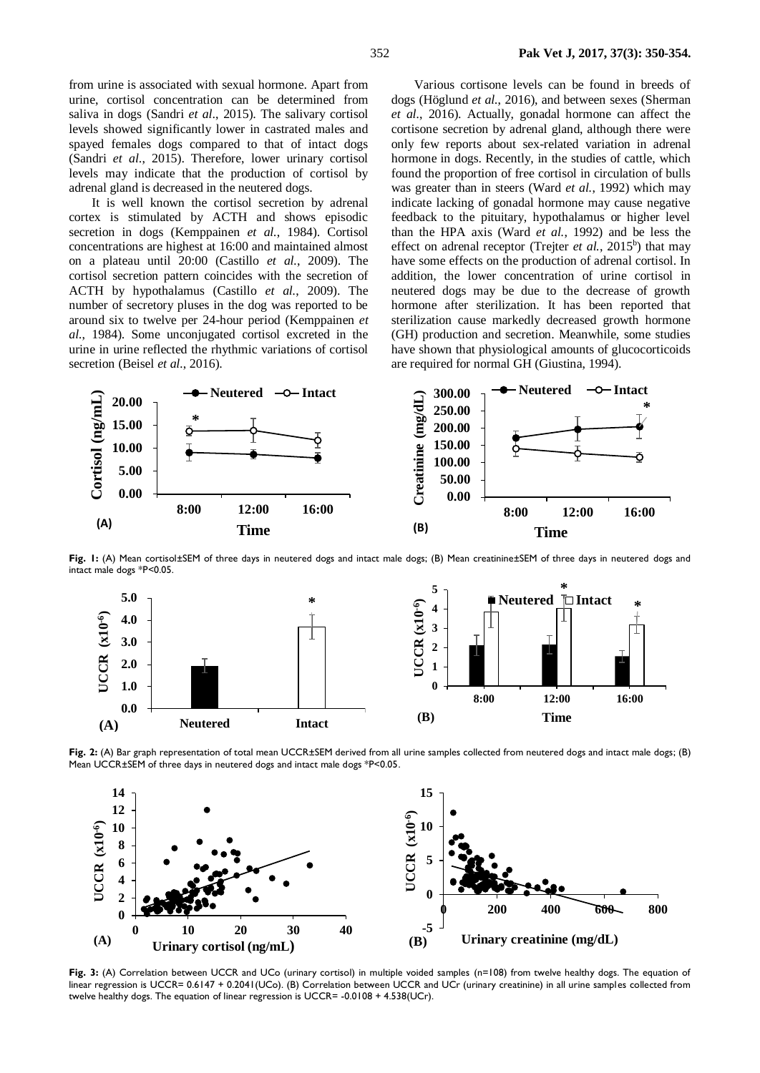from urine is associated with sexual hormone. Apart from urine, cortisol concentration can be determined from saliva in dogs (Sandri *et al*., 2015). The salivary cortisol levels showed significantly lower in castrated males and spayed females dogs compared to that of intact dogs (Sandri *et al*., 2015). Therefore, lower urinary cortisol levels may indicate that the production of cortisol by adrenal gland is decreased in the neutered dogs.

It is well known the cortisol secretion by adrenal cortex is stimulated by ACTH and shows episodic secretion in dogs (Kemppainen *et al.*, 1984). Cortisol concentrations are highest at 16:00 and maintained almost on a plateau until 20:00 (Castillo *et al.*, 2009). The cortisol secretion pattern coincides with the secretion of ACTH by hypothalamus (Castillo *et al.*, 2009). The number of secretory pluses in the dog was reported to be around six to twelve per 24-hour period (Kemppainen *et al.*, 1984). Some unconjugated cortisol excreted in the urine in urine reflected the rhythmic variations of cortisol secretion (Beisel *et al.*, 2016).

Various cortisone levels can be found in breeds of dogs [\(Höglund](https://www.ncbi.nlm.nih.gov/pubmed/?term=H%C3%B6glund%20K%5BAuthor%5D&cauthor=true&cauthor_uid=26812988) *et al.*, 2016), and between sexes [\(Sherman](https://www.ncbi.nlm.nih.gov/pubmed/?term=Sherman%20GD%5BAuthor%5D&cauthor=true&cauthor_uid=28011060)  *et al.*[, 2016\).](https://www.ncbi.nlm.nih.gov/pubmed/?term=Sherman%20GD%5BAuthor%5D&cauthor=true&cauthor_uid=28011060) Actually, gonadal hormone can affect the cortisone secretion by adrenal gland, although there were only few reports about sex-related variation in adrenal hormone in dogs. Recently, in the studies of cattle, which found the proportion of free cortisol in circulation of bulls was greater than in steers (Ward *et al.*, 1992) which may indicate lacking of gonadal hormone may cause negative feedback to the pituitary, hypothalamus or higher level than the HPA axis (Ward *et al.*, 1992) and be less the effect on adrenal receptor [\(Trejter](https://www.ncbi.nlm.nih.gov/pubmed/?term=Trejter%20M%5BAuthor%5D&cauthor=true&cauthor_uid=26122962) et al., 2015<sup>b</sup>) that may have some effects on the production of adrenal cortisol. In addition, the lower concentration of urine cortisol in neutered dogs may be due to the decrease of growth hormone after sterilization. It has been reported that sterilization cause markedly decreased growth hormone (GH) production and secretion. Meanwhile, some studies have shown that physiological amounts of glucocorticoids are required for normal GH (Giustina, 1994).



**Fig. 1:** (A) Mean cortisol±SEM of three days in neutered dogs and intact male dogs; (B) Mean creatinine±SEM of three days in neutered dogs and intact male dogs \*P<0.05.



**Fig. 2:** (A) Bar graph representation of total mean UCCR±SEM derived from all urine samples collected from neutered dogs and intact male dogs; (B) Mean UCCR±SEM of three days in neutered dogs and intact male dogs \*P<0.05.



Fig. 3: (A) Correlation between UCCR and UCo (urinary cortisol) in multiple voided samples (n=108) from twelve healthy dogs. The equation of linear regression is UCCR= 0.6147 + 0.2041(UCo). (B) Correlation between UCCR and UCr (urinary creatinine) in all urine samples collected from twelve healthy dogs. The equation of linear regression is UCCR= -0.0108 + 4.538(UCr).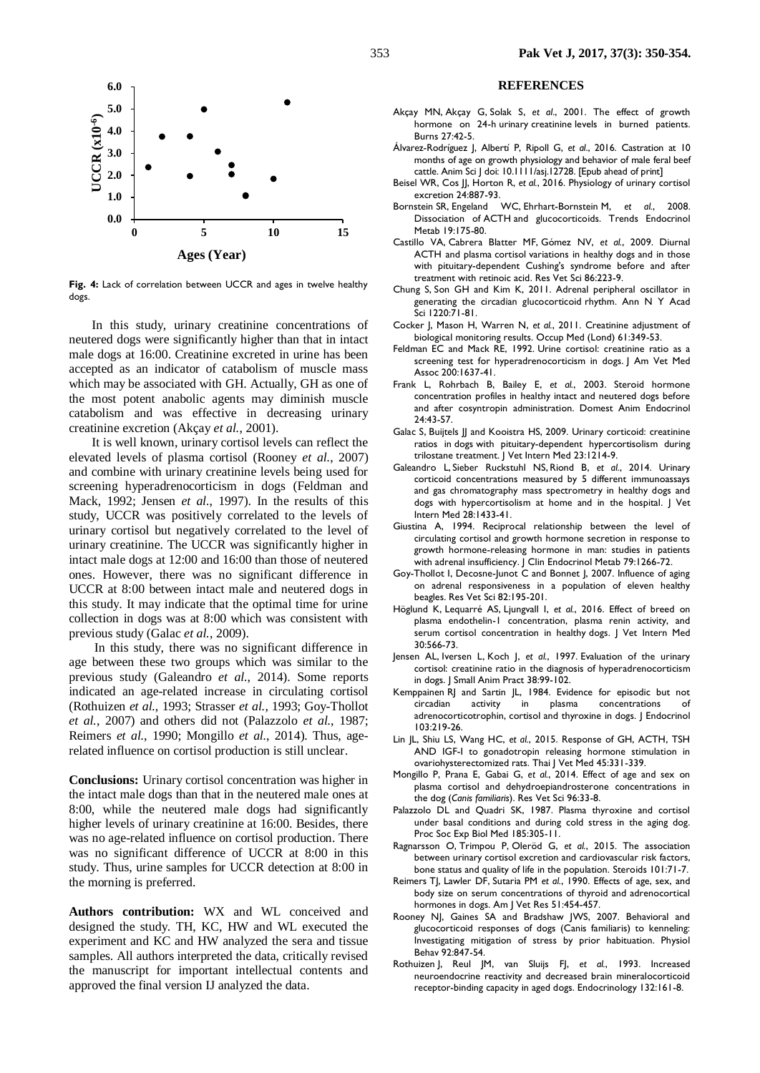

**Fig. 4:** Lack of correlation between UCCR and ages in twelve healthy dogs.

In this study, urinary creatinine concentrations of neutered dogs were significantly higher than that in intact male dogs at 16:00. Creatinine excreted in urine has been accepted as an indicator of catabolism of muscle mass which may be associated with GH. Actually, GH as one of the most potent anabolic agents may diminish muscle catabolism and was effective in decreasing urinary creatinine excretion (Akçay *et al.*, 2001).

It is well known, urinary cortisol levels can reflect the elevated levels of plasma cortisol (Rooney *et al.*, 2007) and combine with urinary creatinine levels being used for screening hyperadrenocorticism in dogs (Feldman and Mack, 1992; Jensen *et al.*, 1997). In the results of this study, UCCR was positively correlated to the levels of urinary cortisol but negatively correlated to the level of urinary creatinine. The UCCR was significantly higher in intact male dogs at 12:00 and 16:00 than those of neutered ones. However, there was no significant difference in UCCR at 8:00 between intact male and neutered dogs in this study. It may indicate that the optimal time for urine collection in dogs was at 8:00 which was consistent with previous study (Galac *et al.*[, 2009\).](https://www.ncbi.nlm.nih.gov/pubmed/?term=Galac%20S%5BAuthor%5D&cauthor=true&cauthor_uid=19709356)

In this study, there was no significant difference in age between these two groups which was similar to the previous study [\(Galeandro](https://www.ncbi.nlm.nih.gov/pubmed/?term=Galeandro%20L%5BAuthor%5D&cauthor=true&cauthor_uid=25040917) *et al.*, 2014). Some reports indicated an age-related increase in circulating cortisol (Rothuizen *et al.*, 1993; Strasser *et al.*, 1993; Goy-Thollot *et al.*, 2007) and others did not (Palazzolo *et al.*, 1987; Reimers *et al.*, 1990; Mongillo *et al.*, 2014). Thus, agerelated influence on cortisol production is still unclear.

**Conclusions:** Urinary cortisol concentration was higher in the intact male dogs than that in the neutered male ones at 8:00, while the neutered male dogs had significantly higher levels of urinary creatinine at 16:00. Besides, there was no age-related influence on cortisol production. There was no significant difference of UCCR at 8:00 in this study. Thus, urine samples for UCCR detection at 8:00 in the morning is preferred.

**Authors contribution:** WX and WL conceived and designed the study. TH, KC, HW and WL executed the experiment and KC and HW analyzed the sera and tissue samples. All authors interpreted the data, critically revised the manuscript for important intellectual contents and approved the final version IJ analyzed the data.

#### **REFERENCES**

- [Akçay MN,](https://www.ncbi.nlm.nih.gov/pubmed/?term=Ak%C3%A7ay%20MN%5BAuthor%5D&cauthor=true&cauthor_uid=11164664) [Akçay G,](https://www.ncbi.nlm.nih.gov/pubmed/?term=Ak%C3%A7ay%20G%5BAuthor%5D&cauthor=true&cauthor_uid=11164664) [Solak S,](https://www.ncbi.nlm.nih.gov/pubmed/?term=Solak%20S%5BAuthor%5D&cauthor=true&cauthor_uid=11164664) *et al*., 2001. The effect of growth hormone on 24-h urinary creatinine levels in burned patients. Burns 27:42-5.
- Álvarez-Rodríguez J, Albertí P, Ripoll G, *et al*., 2016. Castration at 10 months of age on growth physiology and behavior of male feral beef cattle. Anim Sci J doi: 10.1111/asj.12728. [Epub ahead of print]
- [Beisel](javascript:;) WR, [Cos](javascript:;) II[, Horton](javascript:;) R, et al., 2016. Physiology of urinary cortisol excretion 24:887-93.
- [Bornstein](https://www.ncbi.nlm.nih.gov/pubmed/?term=Bornstein%20SR%5BAuthor%5D&cauthor=true&cauthor_uid=18394919) SR, [Engeland WC,](https://www.ncbi.nlm.nih.gov/pubmed/?term=Engeland%20WC%5BAuthor%5D&cauthor=true&cauthor_uid=18394919) [Ehrhart-Bornstein](https://www.ncbi.nlm.nih.gov/pubmed/?term=Ehrhart-Bornstein%20M%5BAuthor%5D&cauthor=true&cauthor_uid=18394919) M, *et al.*, 2008. Dissociation of ACTH and glucocorticoids. [Trends Endocrinol](https://www.ncbi.nlm.nih.gov/pubmed/?term=bornstein+2008+%2C+ACTH)  [Metab 1](https://www.ncbi.nlm.nih.gov/pubmed/?term=bornstein+2008+%2C+ACTH)9:175-80.
- [Castillo VA,](https://www.ncbi.nlm.nih.gov/pubmed/?term=Castillo%20VA%5BAuthor%5D&cauthor=true&cauthor_uid=18692856) [Cabrera Blatter MF,](https://www.ncbi.nlm.nih.gov/pubmed/?term=Cabrera%20Blatter%20MF%5BAuthor%5D&cauthor=true&cauthor_uid=18692856) [Gómez NV,](https://www.ncbi.nlm.nih.gov/pubmed/?term=G%C3%B3mez%20NV%5BAuthor%5D&cauthor=true&cauthor_uid=18692856) *et al.*, 2009. Diurnal ACTH and plasma cortisol variations in healthy dogs and in those with pituitary-dependent Cushing's syndrome before and after treatment with retinoic acid. [Res Vet Sci 8](https://www.ncbi.nlm.nih.gov/pubmed/18692856)6:223-9.
- [Chung S,](https://www.ncbi.nlm.nih.gov/pubmed/?term=Chung%20S%5BAuthor%5D&cauthor=true&cauthor_uid=21388405) [Son GH](https://www.ncbi.nlm.nih.gov/pubmed/?term=Son%20GH%5BAuthor%5D&cauthor=true&cauthor_uid=21388405) and [Kim K,](https://www.ncbi.nlm.nih.gov/pubmed/?term=Kim%20K%5BAuthor%5D&cauthor=true&cauthor_uid=21388405) 2011. Adrenal peripheral oscillator in generating the circadian glucocorticoid rhythm. [Ann N Y Acad](https://www.ncbi.nlm.nih.gov/pubmed/?term=Adrenal+peripheral+oscillator+in+generating+the+circadian+glucocorticoid+rhythm)  [Sci](https://www.ncbi.nlm.nih.gov/pubmed/?term=Adrenal+peripheral+oscillator+in+generating+the+circadian+glucocorticoid+rhythm) 1220:71-81.
- Cocker J, Mason H, Warren N, *et al.*, 2011. Creatinine adjustment of biological monitoring results. Occup Med (Lond) 61:349-53.
- Feldman EC and Mack RE, 1992. Urine cortisol: creatinine ratio as a screening test for hyperadrenocorticism in dogs. J Am Vet Med Assoc 200:1637-41.
- Frank L, Rohrbach B, Bailey E, *et al.*, 2003. Steroid hormone concentration profiles in healthy intact and neutered dogs before and after cosyntropin administration. Domest Anim Endocrinol 24:43-57.
- [Galac S,](https://www.ncbi.nlm.nih.gov/pubmed/?term=Galac%20S%5BAuthor%5D&cauthor=true&cauthor_uid=19709356) [Buijtels JJ](https://www.ncbi.nlm.nih.gov/pubmed/?term=Buijtels%20JJ%5BAuthor%5D&cauthor=true&cauthor_uid=19709356) and [Kooistra HS,](https://www.ncbi.nlm.nih.gov/pubmed/?term=Kooistra%20HS%5BAuthor%5D&cauthor=true&cauthor_uid=19709356) 2009. Urinary corticoid: creatinine ratios in dogs with pituitary-dependent hypercortisolism during trilostane treatment. [J Vet Intern Med 2](https://www.ncbi.nlm.nih.gov/pubmed/19709356)3:1214-9.
- [Galeandro](https://www.ncbi.nlm.nih.gov/pubmed/?term=Galeandro%20L%5BAuthor%5D&cauthor=true&cauthor_uid=25040917) L, Sieber [Ruckstuhl](https://www.ncbi.nlm.nih.gov/pubmed/?term=Sieber%26%23x02010%3BRuckstuhl%20N%5BAuthor%5D&cauthor=true&cauthor_uid=25040917) NS, [Riond](https://www.ncbi.nlm.nih.gov/pubmed/?term=Riond%20B%5BAuthor%5D&cauthor=true&cauthor_uid=25040917) B, *et al.*, 2014. Urinary corticoid concentrations measured by 5 different immunoassays and gas chromatography mass spectrometry in healthy dogs and dogs with hypercortisolism at home and in the hospital. [J Vet](https://www.ncbi.nlm.nih.gov/pmc/articles/PMC4895583/)  [Intern Med](https://www.ncbi.nlm.nih.gov/pmc/articles/PMC4895583/) 28:1433-41.
- Giustina A, 1994. Reciprocal relationship between the level of circulating cortisol and growth hormone secretion in response to growth hormone-releasing hormone in man: studies in patients with adrenal insufficiency. J Clin Endocrinol Metab 79:1266-72.
- Goy-Thollot I, Decosne-Junot C and Bonnet J, 2007. Influence of aging on adrenal responsiveness in a population of eleven healthy beagles. Res Vet Sci 82:195-201.
- [Höglund K,](https://www.ncbi.nlm.nih.gov/pubmed/?term=H%C3%B6glund%20K%5BAuthor%5D&cauthor=true&cauthor_uid=26812988) [Lequarré AS,](https://www.ncbi.nlm.nih.gov/pubmed/?term=Lequarr%C3%A9%20AS%5BAuthor%5D&cauthor=true&cauthor_uid=26812988) [Ljungvall I,](https://www.ncbi.nlm.nih.gov/pubmed/?term=Ljungvall%20I%5BAuthor%5D&cauthor=true&cauthor_uid=26812988) *et al.*, 2016. Effect of breed on plasma endothelin-1 concentration, plasma renin activity, and serum cortisol concentration in healthy dogs. [J Vet Intern Med](https://www.ncbi.nlm.nih.gov/pubmed/26812988)  30:566-73.
- Jensen AL, Iversen L, Koch J, *et al.*, 1997. Evaluation of the urinary cortisol: creatinine ratio in the diagnosis of hyperadrenocorticism in dogs. J Small Anim Pract 38:99-102.
- [Kemppainen](https://www.ncbi.nlm.nih.gov/pubmed/?term=Kemppainen%20RJ%5BAuthor%5D&cauthor=true&cauthor_uid=6092507) RJ and [Sartin JL,](https://www.ncbi.nlm.nih.gov/pubmed/?term=Sartin%20JL%5BAuthor%5D&cauthor=true&cauthor_uid=6092507) 1984. Evidence for episodic but not circadian activity in plasma concentrations adrenocorticotrophin, cortisol and thyroxine in dogs. [J Endocrinol](https://www.ncbi.nlm.nih.gov/pubmed/6092507)  103:219-26.
- Lin JL, Shiu LS, Wang HC, *et al.*, 2015. Response of GH, ACTH, TSH AND IGF-I to gonadotropin releasing hormone stimulation in ovariohysterectomized rats. Thai J Vet Med 45:331-339.
- Mongillo P, Prana E, Gabai G, *et al.*, 2014. Effect of age and sex on plasma cortisol and dehydroepiandrosterone concentrations in the dog (*Canis familiaris*). Res Vet Sci 96:33-8.
- Palazzolo DL and Quadri SK, 1987. Plasma thyroxine and cortisol under basal conditions and during cold stress in the aging dog. Proc Soc Exp Biol Med 185:305-11.
- [Ragnarsson O,](https://www.ncbi.nlm.nih.gov/pubmed/?term=Ragnarsson%20O%5BAuthor%5D&cauthor=true&cauthor_uid=26091579) [Trimpou P,](https://www.ncbi.nlm.nih.gov/pubmed/?term=Trimpou%20P%5BAuthor%5D&cauthor=true&cauthor_uid=26091579) [Oleröd G,](https://www.ncbi.nlm.nih.gov/pubmed/?term=Oler%C3%B6d%20G%5BAuthor%5D&cauthor=true&cauthor_uid=26091579) *et al.*, 2015. The association between urinary cortisol excretion and cardiovascular risk factors, bone status and quality of life in the population. [Steroids 1](https://www.ncbi.nlm.nih.gov/pubmed/26091579)01:71-7.
- [Reimers](https://www.ncbi.nlm.nih.gov/pubmed/?term=Reimers%20TJ%5BAuthor%5D&cauthor=true&cauthor_uid=2316925) TJ, [Lawler DF,](https://www.ncbi.nlm.nih.gov/pubmed/?term=Lawler%20DF%5BAuthor%5D&cauthor=true&cauthor_uid=2316925) [Sutaria PM](https://www.ncbi.nlm.nih.gov/pubmed/?term=Sutaria%20PM%5BAuthor%5D&cauthor=true&cauthor_uid=2316925) *et al.*, 1990. Effects of age, sex, and body size on serum concentrations of thyroid and adrenocortical hormones in dogs. [Am J Vet Res 5](https://www.ncbi.nlm.nih.gov/pubmed/?term=Reimers+1990+cortisol)1:454-457.
- Rooney NJ, Gaines SA and Bradshaw JWS, 2007. Behavioral and glucocorticoid responses of dogs (Canis familiaris) to kenneling: Investigating mitigation of stress by prior habituation. Physiol Behav 92:847-54.
- Rothuizen J, Reul JM, van Sluijs FJ, *et al.*, 1993. [Increased](https://www.ncbi.nlm.nih.gov/pubmed/8380372)  [neuroendocrine reactivity and decreased brain mineralocorticoid](https://www.ncbi.nlm.nih.gov/pubmed/8380372)  [receptor-binding capacity in aged dogs.](https://www.ncbi.nlm.nih.gov/pubmed/8380372) Endocrinology 132:161-8.